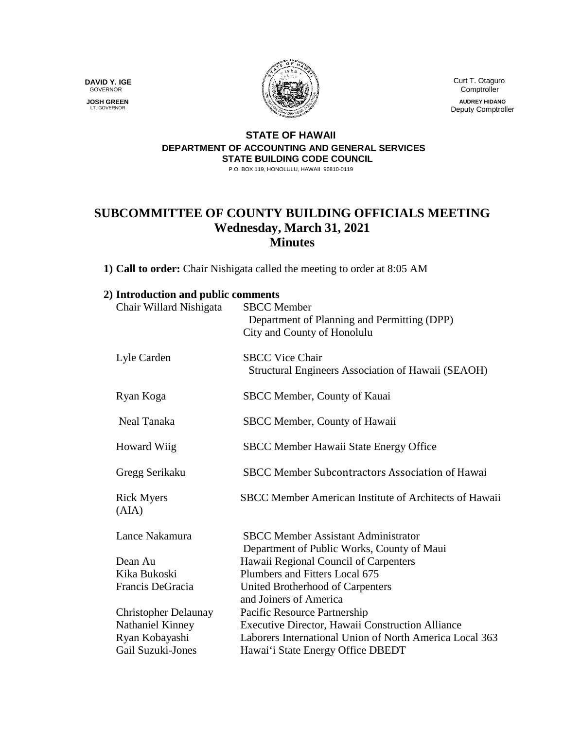**DAVID Y. IGE** GOVERNOR

 **JOSH GREEN** LT. GOVERNOR



 Curt T. Otaguro **Comptroller** 

> **AUDREY HIDANO** Deputy Comptroller

## **STATE OF HAWAII DEPARTMENT OF ACCOUNTING AND GENERAL SERVICES STATE BUILDING CODE COUNCIL**

P.O. BOX 119, HONOLULU, HAWAII 96810-0119

## **SUBCOMMITTEE OF COUNTY BUILDING OFFICIALS MEETING Wednesday, March 31, 2021 Minutes**

**1) Call to order:** Chair Nishigata called the meeting to order at 8:05 AM

| 2) Introduction and public comments |                                                                              |
|-------------------------------------|------------------------------------------------------------------------------|
| Chair Willard Nishigata             | <b>SBCC</b> Member<br>Department of Planning and Permitting (DPP)            |
|                                     | City and County of Honolulu                                                  |
| Lyle Carden                         | <b>SBCC Vice Chair</b><br>Structural Engineers Association of Hawaii (SEAOH) |
| Ryan Koga                           | SBCC Member, County of Kauai                                                 |
| Neal Tanaka                         | SBCC Member, County of Hawaii                                                |
| <b>Howard Wiig</b>                  | <b>SBCC Member Hawaii State Energy Office</b>                                |
| Gregg Serikaku                      | SBCC Member Subcontractors Association of Hawai                              |
| <b>Rick Myers</b><br>(AIA)          | SBCC Member American Institute of Architects of Hawaii                       |
| Lance Nakamura                      | <b>SBCC Member Assistant Administrator</b>                                   |
|                                     | Department of Public Works, County of Maui                                   |
| Dean Au                             | Hawaii Regional Council of Carpenters                                        |
| Kika Bukoski                        | Plumbers and Fitters Local 675                                               |
| Francis DeGracia                    | United Brotherhood of Carpenters<br>and Joiners of America                   |
| <b>Christopher Delaunay</b>         | Pacific Resource Partnership                                                 |
| Nathaniel Kinney                    | Executive Director, Hawaii Construction Alliance                             |
| Ryan Kobayashi                      | Laborers International Union of North America Local 363                      |
| <b>Gail Suzuki-Jones</b>            | Hawai'i State Energy Office DBEDT                                            |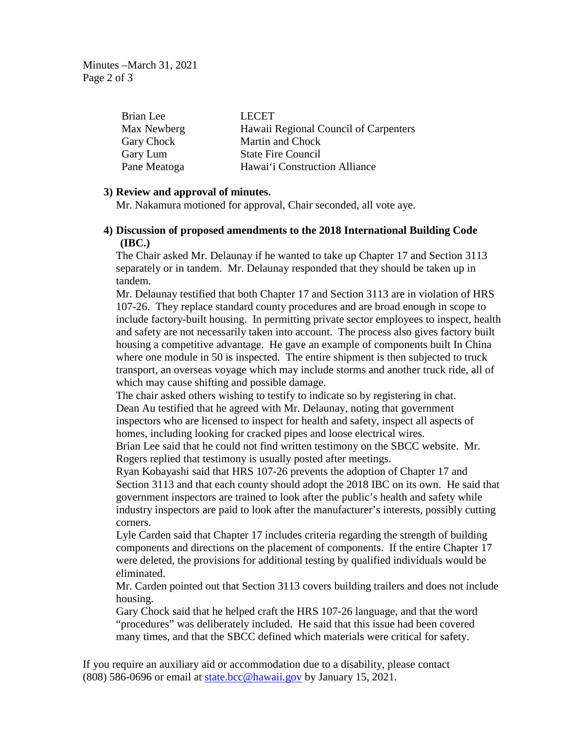Minutes –March 31, 2021 Page 2 of 3

| Brian Lee    | <b>LECET</b>                          |
|--------------|---------------------------------------|
| Max Newberg  | Hawaii Regional Council of Carpenters |
| Gary Chock   | Martin and Chock                      |
| Gary Lum     | <b>State Fire Council</b>             |
| Pane Meatoga | Hawai'i Construction Alliance         |

## **3) Review and approval of minutes.**

Mr. Nakamura motioned for approval, Chair seconded, all vote aye.

## **4) Discussion of proposed amendments to the 2018 International Building Code (IBC.)**

The Chair asked Mr. Delaunay if he wanted to take up Chapter 17 and Section 3113 separately or in tandem. Mr. Delaunay responded that they should be taken up in tandem.

Mr. Delaunay testified that both Chapter 17 and Section 3113 are in violation of HRS 107-26. They replace standard county procedures and are broad enough in scope to include factory-built housing. In permitting private sector employees to inspect, health and safety are not necessarily taken into account. The process also gives factory built housing a competitive advantage. He gave an example of components built In China where one module in 50 is inspected. The entire shipment is then subjected to truck transport, an overseas voyage which may include storms and another truck ride, all of which may cause shifting and possible damage.

The chair asked others wishing to testify to indicate so by registering in chat. Dean Au testified that he agreed with Mr. Delaunay, noting that government inspectors who are licensed to inspect for health and safety, inspect all aspects of homes, including looking for cracked pipes and loose electrical wires.

Brian Lee said that he could not find written testimony on the SBCC website. Mr. Rogers replied that testimony is usually posted after meetings.

Ryan Kobayashi said that HRS 107-26 prevents the adoption of Chapter 17 and Section 3113 and that each county should adopt the 2018 IBC on its own. He said that government inspectors are trained to look after the public's health and safety while industry inspectors are paid to look after the manufacturer's interests, possibly cutting corners.

Lyle Carden said that Chapter 17 includes criteria regarding the strength of building components and directions on the placement of components. If the entire Chapter 17 were deleted, the provisions for additional testing by qualified individuals would be eliminated.

Mr. Carden pointed out that Section 3113 covers building trailers and does not include housing.

Gary Chock said that he helped craft the HRS 107-26 language, and that the word "procedures" was deliberately included. He said that this issue had been covered many times, and that the SBCC defined which materials were critical for safety.

If you require an auxiliary aid or accommodation due to a disability, please contact (808) 586-0696 or email at [state.bcc@hawaii.gov](mailto:state.bcc@hawaii.gov) by January 15, 2021.